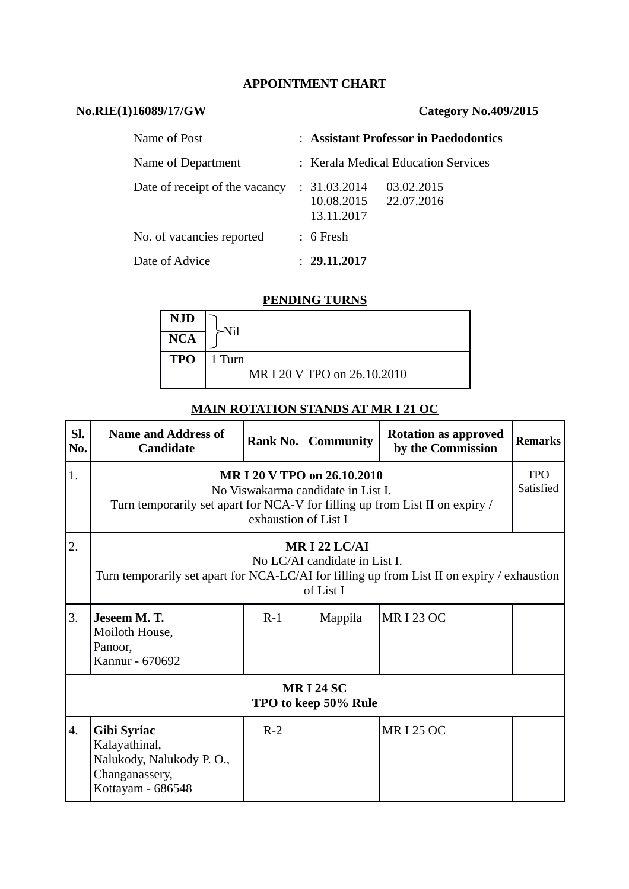## **APPOINTMENT CHART**

## **No.RIE(1)16089/17/GW Category No.409/2015**

| Name of Post                   | : Assistant Professor in Paedodontics                             |
|--------------------------------|-------------------------------------------------------------------|
| Name of Department             | : Kerala Medical Education Services                               |
| Date of receipt of the vacancy | 03.02.2015<br>: 31.03.2014<br>10.08.2015 22.07.2016<br>13.11.2017 |
| No. of vacancies reported      | $: 6$ Fresh                                                       |
| Date of Advice                 | : 29.11.2017                                                      |

### **PENDING TURNS**

| <b>NJD</b> |                             |
|------------|-----------------------------|
| <b>NCA</b> | Nil.                        |
| <b>TPO</b> | 1 Turn                      |
|            | MR I 20 V TPO on 26.10.2010 |

#### **MAIN ROTATION STANDS AT MR I 21 OC**

| SI.<br>No.                               | <b>Name and Address of</b><br><b>Candidate</b>                                                                                                            | Rank No.                                                                                                                                                                  | <b>Community</b> | <b>Rotation as approved</b><br>by the Commission | <b>Remarks</b> |  |  |
|------------------------------------------|-----------------------------------------------------------------------------------------------------------------------------------------------------------|---------------------------------------------------------------------------------------------------------------------------------------------------------------------------|------------------|--------------------------------------------------|----------------|--|--|
| 1.                                       |                                                                                                                                                           | MR I 20 V TPO on 26.10.2010<br>No Viswakarma candidate in List I.<br>Turn temporarily set apart for NCA-V for filling up from List II on expiry /<br>exhaustion of List I |                  |                                                  |                |  |  |
| 2.                                       | MRI 22 LC/AI<br>No LC/AI candidate in List I.<br>Turn temporarily set apart for NCA-LC/AI for filling up from List II on expiry / exhaustion<br>of List I |                                                                                                                                                                           |                  |                                                  |                |  |  |
| 3.                                       | Jeseem M.T.<br>Moiloth House,<br>Panoor,<br>Kannur - 670692                                                                                               | $R-1$                                                                                                                                                                     | Mappila          | <b>MRI 23 OC</b>                                 |                |  |  |
| <b>MRI 24 SC</b><br>TPO to keep 50% Rule |                                                                                                                                                           |                                                                                                                                                                           |                  |                                                  |                |  |  |
| 4.                                       | Gibi Syriac<br>Kalayathinal,<br>Nalukody, Nalukody P.O.,<br>Changanassery,<br>Kottayam - 686548                                                           | $R-2$                                                                                                                                                                     |                  | <b>MRI 25 OC</b>                                 |                |  |  |